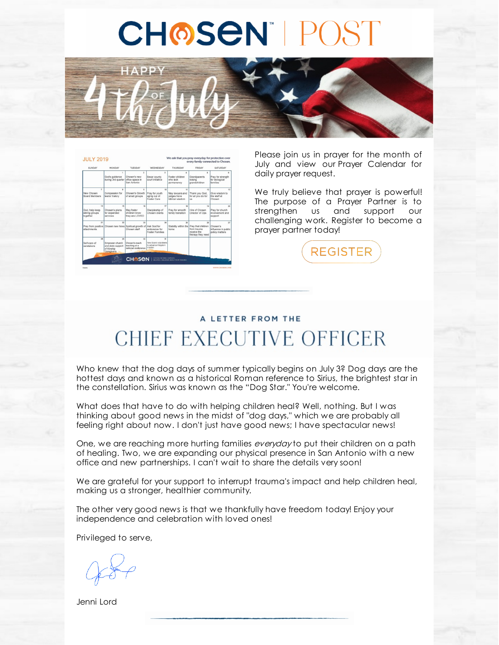## **CHOSEN POST**



| SUNDAY                                                         | MONDAY                                                                | TUESDAY                                                                                   | WEDNESDAY                                                   | THURSDAY                                                | <b>EDIDAY</b>                                                               | SATURDAY                                                |
|----------------------------------------------------------------|-----------------------------------------------------------------------|-------------------------------------------------------------------------------------------|-------------------------------------------------------------|---------------------------------------------------------|-----------------------------------------------------------------------------|---------------------------------------------------------|
|                                                                | God's guidance<br>during 3rd quarter                                  | $\mathbf{r}$<br>Chosen's new<br>office space in<br>San Antonio                            | $\mathbf{A}$<br>Bexar county<br>court initiative            | $\lambda$<br>Foster children<br>who lack<br>permanency  | s.<br>Grandparents<br>raising<br>grandchildren                              | Pray for strength<br>for biological<br>families         |
| $\overline{\phantom{a}}$<br>New Chosen<br><b>Board Members</b> | R<br>Compassion for<br>teens' history                                 | $\overline{a}$<br>Chosen's Growth<br>of small groups                                      | 10<br>Pray for youth<br>aging out of<br>Foster Care         | 11<br>May lawyers and<br>judges have<br>hiblical wisdom | 12<br>Thank you God.<br>for all you do for<br>ine.                          | 13<br>Give wisdom to<br>the staff at<br>Chosen          |
| 14<br>God, help keep<br>sibling groups<br>together             | 15<br>Chosen's plans<br>for expanded<br>services                      | 16<br>May foster<br>children know<br>they are LOVED                                       | 17<br>Discipleship of<br>Chosen clients                     | tŘ<br>Pray for smooth<br>family transition              | 19<br>Hire of Chosen<br>Director of Ops                                     | 20<br>Pray for church<br>involvement and<br>support     |
| $^{24}$<br>attachments                                         | 22                                                                    | 22<br>Pray from positive Chosen new hires Spiritual growth of Ask God for<br>Chosen staff | 24<br>endurance for<br><b>Foster Families</b>               | 25<br>Stability within the<br>home                      | 28<br>Pray that children<br>from trauma<br>receive the<br>therapy they need | 27<br>Chosen's<br>influence in public<br>policy matters |
| 28<br>Self-care of<br>caretakers                               | 29<br>Empower church<br>and state support<br>of Kinship<br>Caregivers | 50 <sub>0</sub><br>Chosen's reach<br>teaching at a<br>national conference                 | 24<br>New Roard volunteers<br>to advance Kinodom<br>mission |                                                         |                                                                             |                                                         |

Please join us in prayer for the month of July and view our Prayer Calendar for daily prayer request.

We truly believe that prayer is powerful! The purpose of a Prayer Partner is to strengthen us and support our challenging work. Register to become a prayer partner today!



## A LETTER FROM THE CHIEF EXECUTIVE OFFICER

Who knew that the dog days of summer typically begins on July 3? Dog days are the hottest days and known as a historical Roman reference to Sirius, the brightest star in the constellation. Sirius was known as the "Dog Star." You're welcome.

What does that have to do with helping children heal? Well, nothing. But I was thinking about good news in the midst of "dog days," which we are probably all feeling right about now. I don't just have good news; I have spectacular news!

One, we are reaching more hurting families everyday to put their children on a path of healing. Two, we are expanding our physical presence in San Antonio with a new office and new partnerships. I can't wait to share the details very soon!

We are grateful for your support to interrupt trauma's impact and help children heal, making us a stronger, healthier community.

The other very good news is that we thankfully have freedom today! Enjoy your independence and celebration with loved ones!

Privileged to serve,

Jenni Lord